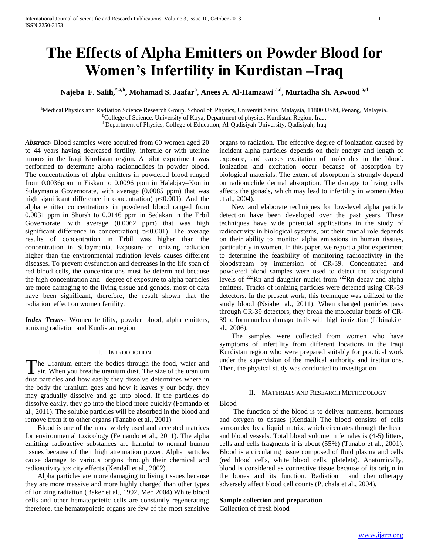# **The Effects of Alpha Emitters on Powder Blood for Women's Infertility in Kurdistan –Iraq**

**Najeba F. Salih,\*,a,b, Mohamad S. Jaafar<sup>a</sup> , Anees A. Al-Hamzawi a,d , Murtadha Sh. Aswood a,d** 

<sup>a</sup>Medical Physics and Radiation Science Research Group, School of Physics, Universiti Sains Malaysia, 11800 USM, Penang, Malaysia.

<sup>b</sup>College of Science, University of Koya, Department of physics, Kurdistan Region, Iraq.

<sup>d</sup> Department of Physics, College of Education, Al-Qadisiyah University, Qadisiyah, Iraq

*Abstract***-** Blood samples were acquired from 60 women aged 20 to 44 years having decreased fertility, infertile or with uterine tumors in the Iraqi Kurdistan region. A pilot experiment was performed to determine alpha radionuclides in powder blood. The concentrations of alpha emitters in powdered blood ranged from 0.0036ppm in Eiskan to 0.0096 ppm in Halabjay–Kon in Sulaymania Governorate, with average (0.0085 ppm) that was high significant difference in concentration( $p<0.001$ ). And the alpha emitter concentrations in powdered blood ranged from 0.0031 ppm in Shorsh to 0.0146 ppm in Sedakan in the Erbil Governorate, with average (0.0062 ppm) that was high significant difference in concentration( $p<0.001$ ). The average results of concentration in Erbil was higher than the concentration in Sulaymania. Exposure to ionizing radiation higher than the environmental radiation levels causes different diseases. To prevent dysfunction and decreases in the life span of red blood cells, the concentrations must be determined because the high concentration and degree of exposure to alpha particles are more damaging to the living tissue and gonads, most of data have been significant, therefore, the result shown that the radiation effect on women fertility.

*Index Terms*- Women fertility, powder blood, alpha emitters, ionizing radiation and Kurdistan region

#### I. INTRODUCTION

he Uranium enters the bodies through the food, water and The Uranium enters the bodies through the food, water and air. When you breathe uranium dust. The size of the uranium dust particles and how easily they dissolve determines where in the body the uranium goes and how it leaves y our body, they may gradually dissolve and go into blood. If the particles do dissolve easily, they go into the blood more quickly (Fernando et al., 2011). The soluble particles will be absorbed in the blood and remove from it to other organs (Tanabo et al., 2001)

 Blood is one of the most widely used and accepted matrices for environmental toxicology (Fernando et al., 2011). The alpha emitting radioactive substances are harmful to normal human tissues because of their high attenuation power. Alpha particles cause damage to various organs through their chemical and radioactivity toxicity effects (Kendall et al., 2002).

 Alpha particles are more damaging to living tissues because they are more massive and more highly charged than other types of ionizing radiation (Baker et al., 1992, Meo 2004) White blood cells and other hematopoietic cells are constantly regenerating; therefore, the hematopoietic organs are few of the most sensitive

organs to radiation. The effective degree of ionization caused by incident alpha particles depends on their energy and length of exposure, and causes excitation of molecules in the blood. Ionization and excitation occur because of absorption by biological materials. The extent of absorption is strongly depend on radionuclide dermal absorption. The damage to living cells affects the gonads, which may lead to infertility in women (Meo et al., 2004).

 New and elaborate techniques for low-level alpha particle detection have been developed over the past years. These techniques have wide potential applications in the study of radioactivity in biological systems, but their crucial role depends on their ability to monitor alpha emissions in human tissues, particularly in women. In this paper, we report a pilot experiment to determine the feasibility of monitoring radioactivity in the bloodstream by immersion of CR-39. Concentrated and powdered blood samples were used to detect the background levels of  $^{222}$ Rn and daughter nuclei from  $^{222}$ Rn decay and alpha emitters. Tracks of ionizing particles were detected using CR-39 detectors. In the present work, this technique was utilized to the study blood (Nsiahet al., 2011). When charged particles pass through CR-39 detectors, they break the molecular bonds of CR-39 to form nuclear damage trails with high ionization (Libinaki et al., 2006).

 The samples were collected from women who have symptoms of infertility from different locations in the Iraqi Kurdistan region who were prepared suitably for practical work under the supervision of the medical authority and institutions. Then, the physical study was conducted to investigation

# II. MATERIALS AND RESEARCH METHODOLOGY

Blood

 The function of the blood is to deliver nutrients, hormones and oxygen to tissues (Kendall) The blood consists of cells surrounded by a liquid matrix, which circulates through the heart and blood vessels. Total blood volume in females is (4-5) litters, cells and cells fragments it is about (55%) (Tanabo et al., 2001). Blood is a circulating tissue composed of fluid plasma and cells (red blood cells, white blood cells, platelets). Anatomically, blood is considered as connective tissue because of its origin in the bones and its function. Radiation and chemotherapy adversely affect blood cell counts (Puchala et al., 2004).

## **Sample collection and preparation**

Collection of fresh blood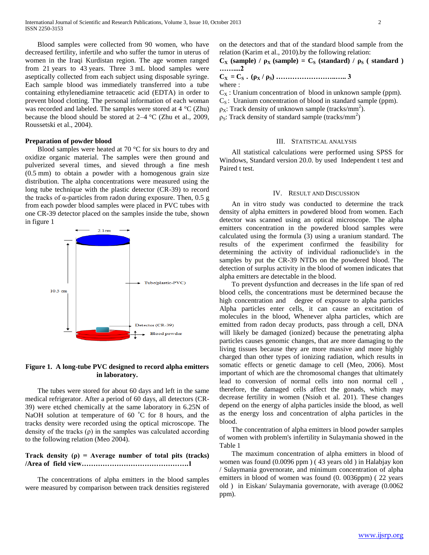Blood samples were collected from 90 women, who have decreased fertility, infertile and who suffer the tumor in uterus of women in the Iraqi Kurdistan region. The age women ranged from 21 years to 43 years. Three 3 mL blood samples were aseptically collected from each subject using disposable syringe. Each sample blood was immediately transferred into a tube containing ethylenediamine tetraacetic acid (EDTA) in order to prevent blood clotting. The personal information of each woman was recorded and labeled. The samples were stored at 4 °C (Zhu) because the blood should be stored at 2–4 °C (Zhu et al., 2009, Roussetski et al., 2004).

#### **Preparation of powder blood**

 Blood samples were heated at 70 °C for six hours to dry and oxidize organic material. The samples were then ground and pulverized several times, and sieved through a fine mesh (0.5 mm) to obtain a powder with a homogenous grain size distribution. The alpha concentrations were measured using the long tube technique with the plastic detector (CR-39) to record the tracks of α-particles from radon during exposure. Then,  $0.5$  g from each powder blood samples were placed in PVC tubes with one CR-39 detector placed on the samples inside the tube, shown in figure 1



## **Figure 1. A long-tube PVC designed to record alpha emitters in laboratory.**

 The tubes were stored for about 60 days and left in the same medical refrigerator. After a period of 60 days, all detectors (CR-39) were etched chemically at the same laboratory in 6.25N of NaOH solution at temperature of 60 $\degree$ C for 8 hours, and the tracks density were recorded using the optical microscope. The density of the tracks  $(\rho)$  in the samples was calculated according to the following relation (Meo 2004).

# **Track density (ρ) = Average number of total pits (tracks) /Area of field view……………………………………….1**

 The concentrations of alpha emitters in the blood samples were measured by comparison between track densities registered on the detectors and that of the standard blood sample from the relation (Karim et al., 2010).by the following relation:

# $C_X$  (sample) /  $\rho_X$  (sample) =  $C_S$  (standard) /  $\rho_S$  (standard) **……....2 CX = CS . (ρ<sup>X</sup> / ρS) ……………………..….. 3**

where :

 $C_X$ : Uranium concentration of blood in unknown sample (ppm).  $C_s$ : Uranium concentration of blood in standard sample (ppm).  $\rho_X$ : Track density of unknown sample (tracks/mm<sup>2</sup>).

 $\rho_s$ : Track density of standard sample (tracks/mm<sup>2</sup>)

#### III. STATISTICAL ANALYSIS

 All statistical calculations were performed using SPSS for Windows, Standard version 20.0. by used Independent t test and Paired t test.

#### IV. RESULT AND DISCUSSION

 An in vitro study was conducted to determine the track density of alpha emitters in powdered blood from women. Each detector was scanned using an optical microscope. The alpha emitters concentration in the powdered blood samples were calculated using the formula (3) using a uranium standard. The results of the experiment confirmed the feasibility for determining the activity of individual radionuclide's in the samples by put the CR-39 NTDs on the powdered blood. The detection of surplus activity in the blood of women indicates that alpha emitters are detectable in the blood.

 To prevent dysfunction and decreases in the life span of red blood cells, the concentrations must be determined because the high concentration and degree of exposure to alpha particles Alpha particles enter cells, it can cause an excitation of molecules in the blood, Whenever alpha particles, which are emitted from radon decay products, pass through a cell, DNA will likely be damaged (ionized) because the penetrating alpha particles causes genomic changes, that are more damaging to the living tissues because they are more massive and more highly charged than other types of ionizing radiation, which results in somatic effects or genetic damage to cell (Meo, 2006). Most important of which are the chromosomal changes that ultimately lead to conversion of normal cells into non normal cell , therefore, the damaged cells affect the gonads, which may decrease fertility in women (Nsioh et al. 201). These changes depend on the energy of alpha particles inside the blood, as well as the energy loss and concentration of alpha particles in the blood.

 The concentration of alpha emitters in blood powder samples of women with problem's infertility in Sulaymania showed in the Table 1

 The maximum concentration of alpha emitters in blood of women was found (0.0096 ppm ) ( 43 years old ) in Halabjay kon / Sulaymania governorate, and minimum concentration of alpha emitters in blood of women was found (0. 0036ppm) ( 22 years old ) in Eiskan/ Sulaymania governorate, with average (0.0062 ppm).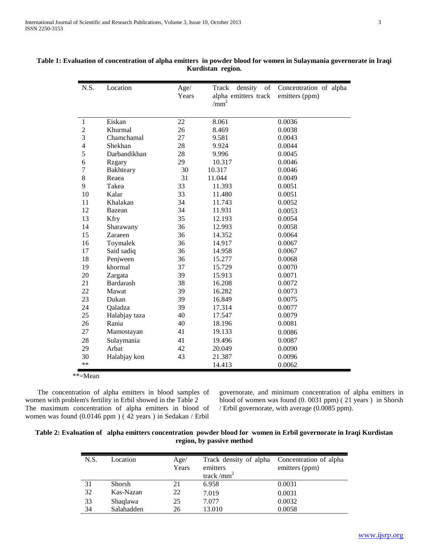| N.S.           | Location      | Age/<br>Years | density<br>of<br>Track<br>alpha emitters track<br>/mm <sup>2</sup> | Concentration of alpha<br>emitters (ppm) |
|----------------|---------------|---------------|--------------------------------------------------------------------|------------------------------------------|
| $\mathbf{1}$   | Eiskan        | 22            | 8.061                                                              | 0.0036                                   |
| $\overline{c}$ | Khurmal       | 26            | 8.469                                                              | 0.0038                                   |
| 3              | Chamchamal    | 27            | 9.581                                                              | 0.0043                                   |
| $\overline{4}$ | Shekhan       | 28            | 9.924                                                              | 0.0044                                   |
| 5              | Darbandikhan  | 28            | 9.996                                                              | 0.0045                                   |
| 6              | <b>Rzgary</b> | 29            | 10.317                                                             | 0.0046                                   |
| $\tau$         | Bakhteary     | 30            | 10.317                                                             | 0.0046                                   |
| 8              | Reaea         | 31            | 11.044                                                             | 0.0049                                   |
| 9              | Takea         | 33            | 11.393                                                             | 0.0051                                   |
| 10             | Kalar         | 33            | 11.480                                                             | 0.0051                                   |
| 11             | Khalakan      | 34            | 11.743                                                             | 0.0052                                   |
| 12             | Bazean        | 34            | 11.931                                                             | 0.0053                                   |
| 13             | Kfry          | 35            | 12.193                                                             | 0.0054                                   |
| 14             | Sharawany     | 36            | 12.993                                                             | 0.0058                                   |
| 15             | Zaraeen       | 36            | 14.352                                                             | 0.0064                                   |
| 16             | Toymalek      | 36            | 14.917                                                             | 0.0067                                   |
| 17             | Said sadiq    | 36            | 14.958                                                             | 0.0067                                   |
| 18             | Penjween      | 36            | 15.277                                                             | 0.0068                                   |
| 19             | khormal       | 37            | 15.729                                                             | 0.0070                                   |
| 20             | Zargata       | 39            | 15.913                                                             | 0.0071                                   |
| 21             | Bardarash     | 38            | 16.208                                                             | 0.0072                                   |
| 22             | Mawat         | 39            | 16.282                                                             | 0.0073                                   |
| 23             | Dukan         | 39            | 16.849                                                             | 0.0075                                   |
| 24             | Qaladza       | 39            | 17.314                                                             | 0.0077                                   |
| 25             | Halabjay taza | 40            | 17.547                                                             | 0.0079                                   |
| 26             | Rania         | 40            | 18.196                                                             | 0.0081                                   |
| 27             | Mamostayan    | 41            | 19.133                                                             | 0.0086                                   |
| 28             | Sulaymania    | 41            | 19.496                                                             | 0.0087                                   |
| 29             | Arbat         | 42            | 20.049                                                             | 0.0090                                   |
| 30             | Halabjay kon  | 43            | 21.387                                                             | 0.0096                                   |
| $**$           |               |               | 14.413                                                             | 0.0062                                   |

# **Table 1: Evaluation of concentration of alpha emitters in powder blood for women in Sulaymania governorate in Iraqi Kurdistan region.**

\*\*=Mean

 The concentration of alpha emitters in blood samples of women with problem's fertility in Erbil showed in the Table 2 The maximum concentration of alpha emitters in blood of women was found (0.0146 ppm ) ( 42 years ) in Sedakan / Erbil

governorate, and minimum concentration of alpha emitters in blood of women was found (0. 0031 ppm) ( 21 years ) in Shorsh / Erbil governorate, with average (0.0085 ppm).

# **Table 2: Evaluation of alpha emitters concentration powder blood for women in Erbil governorate in Iraqi Kurdistan region, by passive method**

| N.S. | Location   | Age/<br>Years | Track density of alpha<br>emitters<br>track/ $mm2$ | Concentration of alpha<br>emitters (ppm) |
|------|------------|---------------|----------------------------------------------------|------------------------------------------|
| 31   | Shorsh     | 21            | 6.958                                              | 0.0031                                   |
| 32   | Kas-Nazan  | 22            | 7.019                                              | 0.0031                                   |
| 33   | Shaqlawa   | 25            | 7.077                                              | 0.0032                                   |
| 34   | Salahadden | 26            | 13.010                                             | 0.0058                                   |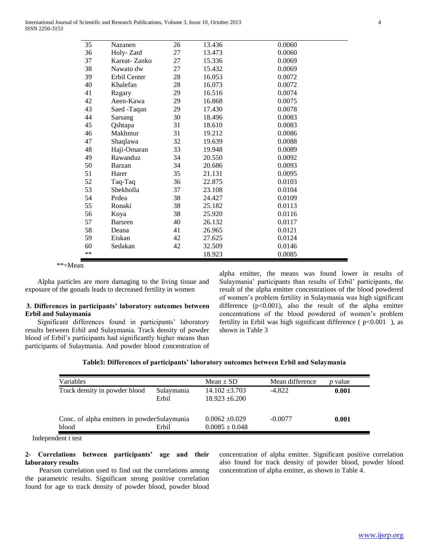| 35   | Nazanen        | 26 | 13.436 | 0.0060 |
|------|----------------|----|--------|--------|
| 36   | Holy-Zatd      | 27 | 13.473 | 0.0060 |
| 37   | Kareat-Zanko   | 27 | 15.336 | 0.0069 |
| 38   | Nawato dw      | 27 | 15.432 | 0.0069 |
| 39   | Erbil Center   | 28 | 16.053 | 0.0072 |
| 40   | Khalefan       | 28 | 16.073 | 0.0072 |
| 41   | <b>Rzgary</b>  | 29 | 16.516 | 0.0074 |
| 42   | Aeen-Kawa      | 29 | 16.868 | 0.0075 |
| 43   | Saed -Taqan    | 29 | 17.430 | 0.0078 |
| 44   | Sarsang        | 30 | 18.496 | 0.0083 |
| 45   | Qshtapa        | 31 | 18.610 | 0.0083 |
| 46   | Makhmur        | 31 | 19.212 | 0.0086 |
| 47   | Shaqlawa       | 32 | 19.639 | 0.0088 |
| 48   | Haji-Omaran    | 33 | 19.948 | 0.0089 |
| 49   | Rawanduz       | 34 | 20.550 | 0.0092 |
| 50   | Barzan         | 34 | 20.686 | 0.0093 |
| 51   | Harer          | 35 | 21.131 | 0.0095 |
| 52   | Taq-Taq        | 36 | 22.875 | 0.0103 |
| 53   | Shekholla      | 37 | 23.108 | 0.0104 |
| 54   | Prdea          | 38 | 24.427 | 0.0109 |
| 55   | Ronaki         | 38 | 25.182 | 0.0113 |
| 56   | Koya           | 38 | 25.920 | 0.0116 |
| 57   | <b>Barsren</b> | 40 | 26.132 | 0.0117 |
| 58   | Deana          | 41 | 26.965 | 0.0121 |
| 59   | Eiskan         | 42 | 27.625 | 0.0124 |
| 60   | Sedakan        | 42 | 32.509 | 0.0146 |
| $**$ |                |    | 18.923 | 0.0085 |

\*\*=Mean

 Alpha particles are more damaging to the living tissue and exposure of the gonads leads to decreased fertility in women

# **3. Differences in participants' laboratory outcomes between Erbil and Sulaymania**

 Significant differences found in participants' laboratory results between Erbil and Sulaymania. Track density of powder blood of Erbil's participants had significantly higher means than participants of Sulaymania. And powder blood concentration of alpha emitter, the means was found lower in results of Sulaymania' participants than results of Erbil' participants, the result of the alpha emitter concentrations of the blood powdered of women's problem fertility in Sulaymania was high significant difference  $(p<0.001)$ , also the result of the alpha emitter concentrations of the blood powdered of women's problem fertility in Erbil was high significant difference ( $p<0.001$ ), as shown in Table 3

| Table3: Differences of participants' laboratory outcomes between Erbil and Sulaymania |  |  |  |
|---------------------------------------------------------------------------------------|--|--|--|
|                                                                                       |  |  |  |

| Variables                                   |            | $Mean \pm SD$      | Mean difference | <i>p</i> value |
|---------------------------------------------|------------|--------------------|-----------------|----------------|
| Track density in powder blood               | Sulaymania | $14.102 \pm 3.703$ | $-4.822$        | 0.001          |
|                                             | Erbil      | $18.923 \pm 6.200$ |                 |                |
|                                             |            |                    |                 |                |
| Conc. of alpha emitters in powderSulaymania |            | $0.0062 + 0.029$   | $-0.0077$       | 0.001          |
| blood                                       | Erbil      | $0.0085 \pm 0.048$ |                 |                |

Independent t test

# **2- Correlations between participants' age and their laboratory results**

 Pearson correlation used to find out the correlations among the parametric results. Significant strong positive correlation found for age to track density of powder blood, powder blood

concentration of alpha emitter. Significant positive correlation also found for track density of powder blood, powder blood concentration of alpha emitter, as shown in Table 4.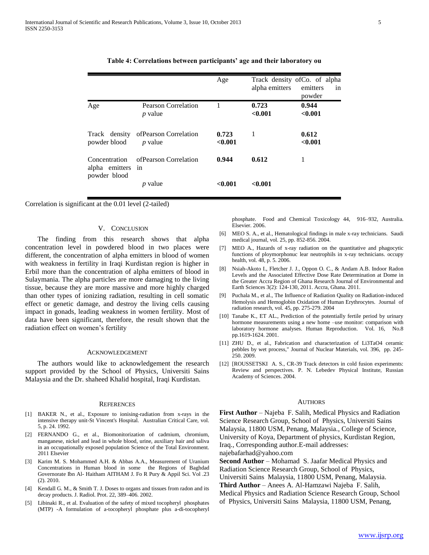|                                                    |                                          | Age              | Track density of Co. of alpha<br>alpha emitters | emitters<br>in<br>powder |
|----------------------------------------------------|------------------------------------------|------------------|-------------------------------------------------|--------------------------|
| Age                                                | Pearson Correlation<br><i>p</i> value    |                  | 0.723<br>< 0.001                                | 0.944<br>< 0.001         |
| Track density<br>powder blood                      | of Pearson Correlation<br><i>p</i> value | 0.723<br>< 0.001 | 1                                               | 0.612<br>< 0.001         |
| Concentration<br>alpha emitters in<br>powder blood | ofPearson Correlation                    | 0.944            | 0.612                                           |                          |
|                                                    | <i>p</i> value                           | < 0.001          | < 0.001                                         |                          |

#### **Table 4: Correlations between participants' age and their laboratory ou**

Correlation is significant at the 0.01 level (2-tailed)

## V. CONCLUSION

 The finding from this research shows that alpha concentration level in powdered blood in two places were different, the concentration of alpha emitters in blood of women with weakness in fertility in Iraqi Kurdistan region is higher in Erbil more than the concentration of alpha emitters of blood in Sulaymania. The alpha particles are more damaging to the living tissue, because they are more massive and more highly charged than other types of ionizing radiation, resulting in cell somatic effect or genetic damage, and destroy the living cells causing impact in gonads, leading weakness in women fertility. Most of data have been significant, therefore, the result shown that the radiation effect on women's fertility

#### ACKNOWLEDGEMENT

 The authors would like to acknowledgement the research support provided by the School of Physics, Universiti Sains Malaysia and the Dr. shaheed Khalid hospital, Iraqi Kurdistan.

#### **REFERENCES**

- [1] BAKER N., et al., Exposure to ionising-radiation from x-rays in the intensive therapy unit-St Vincent's Hospital. Australian Critical Care, vol. 5, p. 24. 1992.
- [2] FERNANDO G., et al., Biomonitorization of cadmium, chromium, manganese, nickel and lead in whole blood, urine, auxiliary hair and saliva in an occupationally exposed population Science of the Total Environment. 2011 Elsevier
- [3] Karim M. S. Mohammed A.H. & Abbas A.A., Measurement of Uranium Concentrations in Human blood in some the Regions of Baghdad Governorate Ibn Al- Haitham AITHAM J. Fo R Pury & Appil Sci. Vol .23 (2). 2010.
- [4] Kendall G. M., & Smith T. J. Doses to organs and tissues from radon and its decay products. J. Radiol. Prot. 22, 389–406. 2002.
- [5] Libinaki R., et al. Evaluation of the safety of mixed tocopheryl phosphates (MTP) -A formulation of a-tocopheryl phosphate plus a-di-tocopheryl

phosphate. Food and Chemical Toxicology 44, 916–932, Australia. Elsevier. 2006.

- [6] MEO S. A., et al., Hematological findings in male x-ray technicians. Saudi medical journal, vol. 25, pp. 852-856. 2004.
- [7] MEO A., Hazards of x-ray radiation on the quantitative and phagocytic functions of ploymorphonuc lear neutrophils in x-ray technicians. occupy health, vol. 48, p. 5. 2006.
- [8] Nsiah-Akoto I., Fletcher J. J., Oppon O. C., & Andam A.B. Indoor Radon Levels and the Associated Effective Dose Rate Determination at Dome in the Greater Accra Region of Ghana Research Journal of Environmental and Earth Sciences 3(2): 124-130, 2011. Accra, Ghana. 2011.
- [9] Puchala M., et al., The Influence of Radiation Quality on Radiation-induced Hemolysis and Hemoglobin Oxidation of Human Erythrocytes. Journal of radiation research, vol. 45, pp. 275-279. 2004
- [10] Tanabe K., ET AL., Prediction of the potentially fertile period by urinary hormone measurements using a new home –use monitor: comparison with laboratory hormone analyses. Human Reproduction. Vol. 16, No.8 pp.1619-1624. 2001.
- [11] ZHU D., et al., Fabrication and characterization of Li3TaO4 ceramic pebbles by wet process," Journal of Nuclear Materials, vol. 396, pp. 245- 250. 2009.
- [12] [ROUSSETSKI A. S., CR-39 Track detectors in cold fusion experiments: Review and perspectives. P. N. Lebedev Physical Institute, Russian Academy of Sciences. 2004.

#### AUTHORS

**First Author** – Najeba F. Salih, Medical Physics and Radiation Science Research Group, School of Physics, Universiti Sains Malaysia, 11800 USM, Penang, Malaysia., College of Science, University of Koya, Department of physics, Kurdistan Region, Iraq., Corresponding author.E-mail addresses: najebafarhad@yahoo.com

**Second Author** – Mohamad S. Jaafar Medical Physics and Radiation Science Research Group, School of Physics, Universiti Sains Malaysia, 11800 USM, Penang, Malaysia. **Third Author** – Anees A. Al-Hamzawi Najeba F. Salih, Medical Physics and Radiation Science Research Group, School

of Physics, Universiti Sains Malaysia, 11800 USM, Penang,